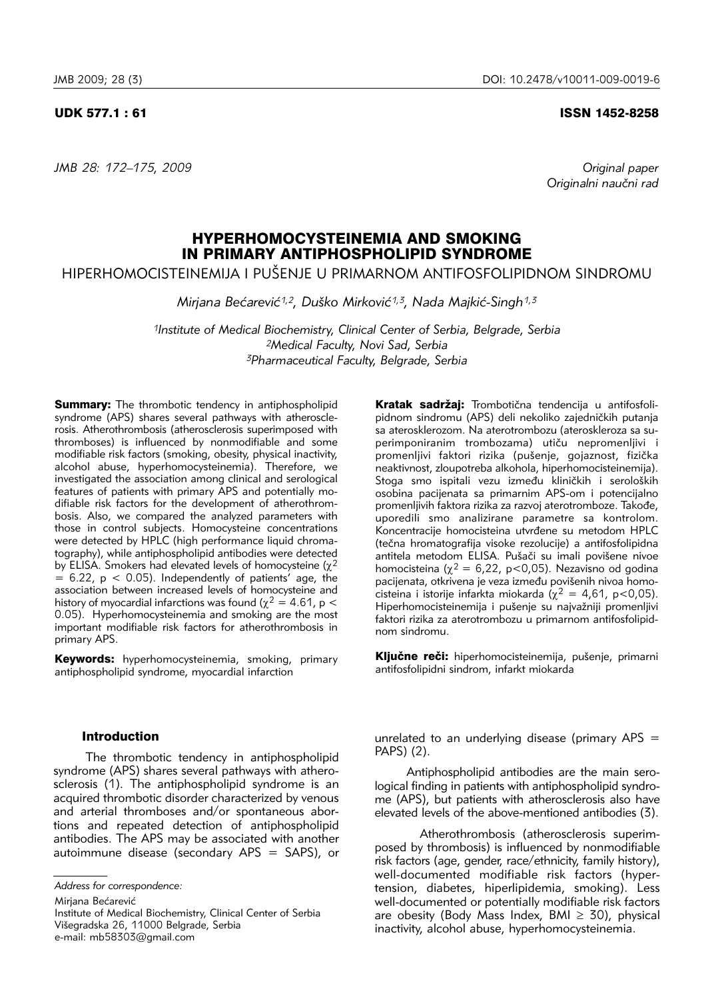*JMB 28: 172–175, 2009 Original paper*

#### UDK 577.1 : 61 ISSN 1452-8258

Originalni naučni rad

# HYPERHOMOCYSTEINEMIA AND SMOKING IN PRIMARY ANTIPHOSPHOLIPID SYNDROME

HIPERHOMOCISTEINEMIJA I PUŠENJE U PRIMARNOM ANTIFOSFOLIPIDNOM SINDROMU

*Mirjana Bećarević<sup>1,2</sup>, Duško Mirković<sup>1,3</sup>, Nada Majkić-Singh<sup>1,3</sup>* 

*1Institute of Medical Biochemistry, Clinical Center of Serbia, Belgrade, Serbia 2Medical Faculty, Novi Sad, Serbia 3Pharmaceutical Faculty, Belgrade, Serbia*

Summary: The thrombotic tendency in antiphospholipid syndrome (APS) shares several pathways with atherosclerosis. Atherothrombosis (atherosclerosis superimposed with thromboses) is influenced by nonmodifiable and some modifiable risk factors (smoking, obesity, physical inactivity, alcohol abuse, hyperhomocysteinemia). Therefore, we investigated the association among clinical and serological features of patients with primary APS and potentially modifiable risk factors for the development of atherothrombosis. Also, we compared the analyzed parameters with those in control subjects. Homocysteine concentrations were detected by HPLC (high performance liquid chromatography), while antiphospholipid antibodies were detected by ELISA. Smokers had elevated levels of homocysteine ( $\chi^2$  $= 6.22$ ,  $p < 0.05$ ). Independently of patients' age, the association between increased levels of homocysteine and history of myocardial infarctions was found ( $\chi^2 = 4.61$ , p < 0.05). Hyperhomocysteinemia and smoking are the most important modifiable risk factors for atherothrombosis in primary APS.

Keywords: hyperhomocysteinemia, smoking, primary antiphospholipid syndrome, myocardial infarction

# Introduction

The thrombotic tendency in antiphospholipid syndrome (APS) shares several pathways with atherosclerosis (1). The antiphospholipid syndrome is an acquired thrombotic disorder characterized by venous and arterial thromboses and/or spontaneous abortions and repeated detection of antiphospholipid antibodies. The APS may be associated with another autoimmune disease (secondary APS = SAPS), or

Mirjana Bećarević

Kratak sadržaj: Trombotična tendencija u antifosfolipidnom sindromu (APS) deli nekoliko zajedničkih putanja sa aterosklerozom. Na aterotrombozu (ateroskleroza sa superimponiranim trombozama) utiču nepromenljivi i promenljivi faktori rizika (pušenje, gojaznost, fizička neaktivnost, zloupotreba alkohola, hiperhomocisteinemija). Stoga smo ispitali vezu između kliničkih i seroloških osobina pacijenata sa primarnim APS-om i potencijalno promenljivih faktora rizika za razvoj aterotromboze. Takođe, uporedili smo analizirane parametre sa kontrolom. Koncentracije homocisteina utvrđene su metodom HPLC (tečna hromatografija visoke rezolucije) a antifosfolipidna antitela metodom ELISA. Pušači su imali povišene nivoe homocisteina ( $\chi^2$  = 6,22, p<0,05). Nezavisno od godina pacijenata, otkrivena je veza između povišenih nivoa homocisteina i istorije infarkta miokarda ( $\chi^2 = 4.61$ , p<0.05). Hiperhomocisteinemija i pušenje su najvažniji promenljivi faktori rizika za aterotrombozu u primarnom antifosfolipidnom sindromu.

Ključne reči: hiperhomocisteinemija, pušenje, primarni antifosfolipidni sindrom, infarkt miokarda

unrelated to an underlying disease (primary  $APS =$ PAPS) (2).

Antiphospholipid antibodies are the main serological finding in patients with antiphospholipid syndrome (APS), but patients with atherosclerosis also have elevated levels of the above-mentioned antibodies (3).

Atherothrombosis (atherosclerosis superimposed by thrombosis) is influenced by nonmodifiable risk factors (age, gender, race/ethnicity, family history), well-documented modifiable risk factors (hypertension, diabetes, hiperlipidemia, smoking). Less well-documented or potentially modifiable risk factors are obesity (Body Mass Index, BMI  $\geq$  30), physical inactivity, alcohol abuse, hyperhomocysteinemia.

*Address for correspondence:*

Institute of Medical Biochemistry, Clinical Center of Serbia Višegradska 26, 11000 Belgrade, Serbia e-mail: mb58303@gmail.com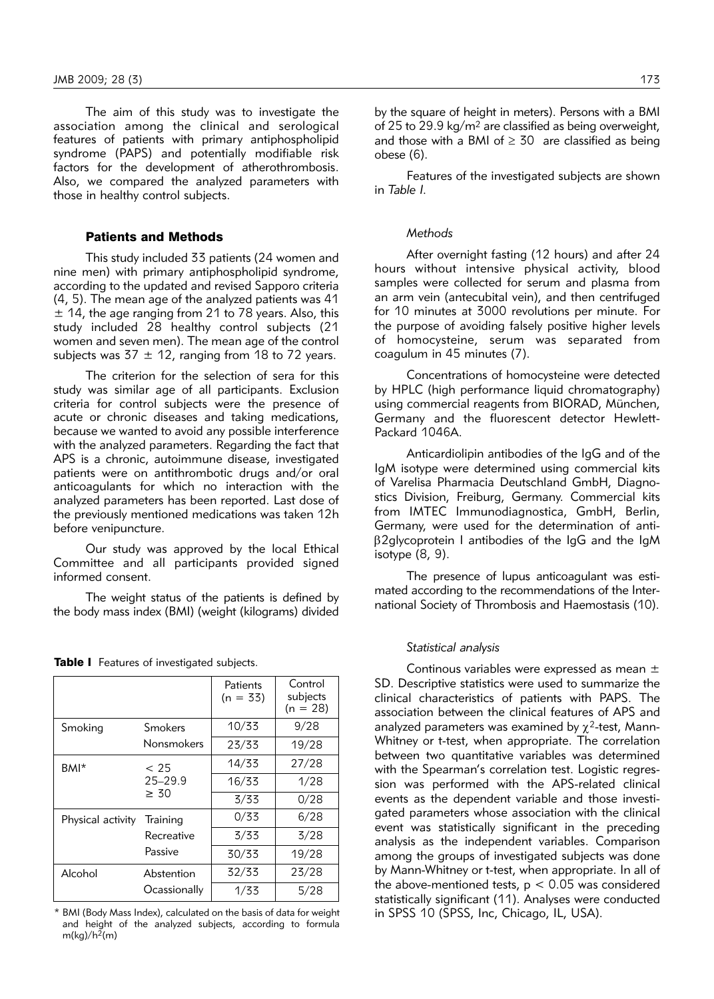The aim of this study was to investigate the association among the clinical and serological features of patients with primary antiphospholipid syndrome (PAPS) and potentially modifiable risk factors for the development of atherothrombosis. Also, we compared the analyzed parameters with those in healthy control subjects.

# Patients and Methods

This study included 33 patients (24 women and nine men) with primary antiphospholipid syndrome, according to the updated and revised Sapporo criteria (4, 5). The mean age of the analyzed patients was 41  $\pm$  14, the age ranging from 21 to 78 years. Also, this study included 28 healthy control subjects (21 women and seven men). The mean age of the control subjects was  $37 \pm 12$ , ranging from 18 to 72 years.

The criterion for the selection of sera for this study was similar age of all participants. Exclusion criteria for control subjects were the presence of acute or chronic diseases and taking medications, because we wanted to avoid any possible interference with the analyzed parameters. Regarding the fact that APS is a chronic, autoimmune disease, investigated patients were on antithrombotic drugs and/or oral anticoagulants for which no interaction with the analyzed parameters has been reported. Last dose of the previously mentioned medications was taken 12h before venipuncture.

Our study was approved by the local Ethical Committee and all participants provided signed informed consent.

The weight status of the patients is defined by the body mass index (BMI) (weight (kilograms) divided

|                   |                                  | Patients<br>$(n = 33)$ | Control<br>subjects<br>$(n = 28)$ |
|-------------------|----------------------------------|------------------------|-----------------------------------|
| Smoking           | Smokers                          | 10/33                  | 9/28                              |
|                   | Nonsmokers                       | 23/33                  | 19/28                             |
| BMI <sup>*</sup>  | < 25<br>$25 - 29.9$<br>$\geq 30$ | 14/33                  | 27/28                             |
|                   |                                  | 16/33                  | 1/28                              |
|                   |                                  | 3/33                   | 0/28                              |
| Physical activity | Training<br>Recreative           | 0/33                   | 6/28                              |
|                   |                                  | 3/33                   | 3/28                              |
|                   | Passive                          | 30/33                  | 19/28                             |
| Alcohol           | Abstention<br>Ocassionally       | 32/33                  | 23/28                             |
|                   |                                  | 1/33                   | 5/28                              |

Table I Features of investigated subjects.

\* BMI (Body Mass Index), calculated on the basis of data for weight and height of the analyzed subjects, according to formula  $m(kg)/h^2(m)$ 

by the square of height in meters). Persons with a BMI of 25 to 29.9 kg/m2 are classified as being overweight, and those with a BMI of  $\geq$  30 are classified as being obese (6).

Features of the investigated subjects are shown in *Table I.*

#### *Methods*

After overnight fasting (12 hours) and after 24 hours without intensive physical activity, blood samples were collected for serum and plasma from an arm vein (antecubital vein), and then centrifuged for 10 minutes at 3000 revolutions per minute. For the purpose of avoiding falsely positive higher levels of homocysteine, serum was separated from coagulum in 45 minutes (7).

Concentrations of homocysteine were detected by HPLC (high performance liquid chromatography) using commercial reagents from BIORAD, München, Germany and the fluorescent detector Hewlett-Packard 1046A.

Anticardiolipin antibodies of the IgG and of the IgM isotype were determined using commercial kits of Varelisa Pharmacia Deutschland GmbH, Diagnostics Division, Freiburg, Germany. Commercial kits from IMTEC Immunodiagnostica, GmbH, Berlin, Germany, were used for the determination of antib2glycoprotein I antibodies of the IgG and the IgM isotype (8, 9).

The presence of lupus anticoagulant was estimated according to the recommendations of the Interna tional Society of Thrombosis and Haemostasis (10).

#### *Statistical analysis*

Continous variables were expressed as mean ± SD. Descriptive statistics were used to summarize the clinical characteristics of patients with PAPS. The association between the clinical features of APS and analyzed parameters was examined by  $\chi^2$ -test, Mann-Whitney or t-test, when appropriate. The correlation between two quantitative variables was determined with the Spearman's correlation test. Logistic regression was performed with the APS-related clinical events as the dependent variable and those investigated parameters whose association with the clinical event was statistically significant in the preceding analysis as the independent variables. Comparison among the groups of investigated subjects was done by Mann-Whitney or t-test, when appropriate. In all of the above-mentioned tests,  $p < 0.05$  was considered statistically significant (11). Analyses were conducted in SPSS 10 (SPSS, Inc, Chicago, IL, USA).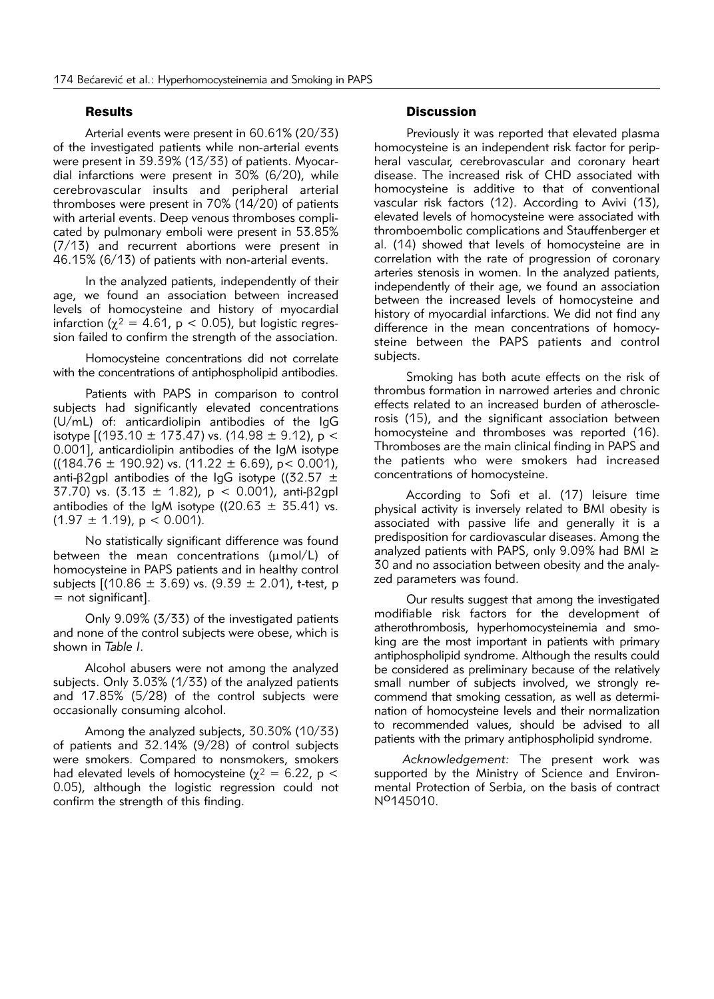# **Results**

Arterial events were present in 60.61% (20/33) of the investigated patients while non-arterial events were present in 39.39% (13/33) of patients. Myocardial infarctions were present in 30% (6/20), while cere bro vascular insults and peripheral arterial thromboses were present in 70% (14/20) of patients with arterial events. Deep venous thromboses complicated by pulmonary emboli were present in 53.85% (7/13) and recurrent abortions were present in 46.15% (6/13) of patients with non-arterial events.

In the analyzed patients, independently of their age, we found an association between increased levels of homocysteine and history of myocardial infarction ( $\chi^2 = 4.61$ , p < 0.05), but logistic regression failed to confirm the strength of the association.

Homocysteine concentrations did not correlate with the concentrations of antiphospholipid antibodies.

Patients with PAPS in comparison to control subjects had significantly elevated concentrations (U/mL) of: anticardiolipin antibodies of the IgG isotype  $[(193.10 \pm 173.47)$  vs.  $(14.98 \pm 9.12)$ , p < 0.001], anticardiolipin antibodies of the IgM isotype  $((184.76 \pm 190.92) \text{ vs. } (11.22 \pm 6.69), \text{ p} < 0.001),$ anti- $\beta$ 2gpl antibodies of the IgG isotype ((32.57  $\pm$ 37.70) vs.  $(3.13 \pm 1.82)$ , p < 0.001), anti- $\beta$ 2qpl antibodies of the IgM isotype ((20.63  $\pm$  35.41) vs.  $(1.97 \pm 1.19)$ , p < 0.001).

No statistically significant difference was found between the mean concentrations ( $\mu$ mol/L) of homocy steine in PAPS patients and in healthy control subjects  $[(10.86 \pm 3.69)$  vs.  $(9.39 \pm 2.01)$ , t-test, p = not significant].

Only 9.09% (3/33) of the investigated patients and none of the control subjects were obese, which is shown in *Table I*.

Alcohol abusers were not among the analyzed subjects. Only 3.03% (1/33) of the analyzed patients and 17.85% (5/28) of the control subjects were occasionally consuming alcohol.

Among the analyzed subjects, 30.30% (10/33) of patients and 32.14% (9/28) of control subjects were smokers. Compared to nonsmokers, smokers had elevated levels of homocysteine ( $\chi^2$  = 6.22, p < 0.05), although the logistic regression could not confirm the strength of this finding.

#### **Discussion**

Previously it was reported that elevated plasma homocysteine is an independent risk factor for peripheral vascular, cerebrovascular and coronary heart disease. The increased risk of CHD associated with homocysteine is additive to that of conventional vascular risk factors (12). According to Avivi (13), elevated levels of homocysteine were associated with thromboembolic complications and Stauffenberger et al. (14) showed that levels of homocysteine are in correlation with the rate of progression of coronary arteries stenosis in women. In the analyzed patients, independently of their age, we found an association between the increased levels of homocysteine and history of myocardial infarctions. We did not find any difference in the mean concentrations of homocysteine between the PAPS patients and control subjects.

Smoking has both acute effects on the risk of thrombus formation in narrowed arteries and chronic effects related to an increased burden of atheroscle rosis (15), and the significant association between homocysteine and thromboses was reported (16). Thromboses are the main clinical finding in PAPS and the patients who were smokers had increased concentrations of homocysteine.

According to Sofi et al. (17) leisure time physical activity is inversely related to BMI obesity is associated with passive life and generally it is a predisposition for cardiovascular diseases. Among the analyzed patients with PAPS, only 9.09% had BMI  $\ge$ 30 and no association between obesity and the analy zed parameters was found.

Our results suggest that among the investigated modifiable risk factors for the development of atherothrombosis, hyperhomocysteinemia and smoking are the most important in patients with primary antiphospholipid syndrome. Although the results could be considered as preliminary because of the relatively small number of subjects involved, we strongly recommend that smoking cessation, as well as determination of homocysteine levels and their normalization to recommended values, should be advised to all patients with the primary antiphospholipid syndrome.

*Acknowledgement:* The present work was supported by the Ministry of Science and Environmental Protection of Serbia, on the basis of contract No145010.